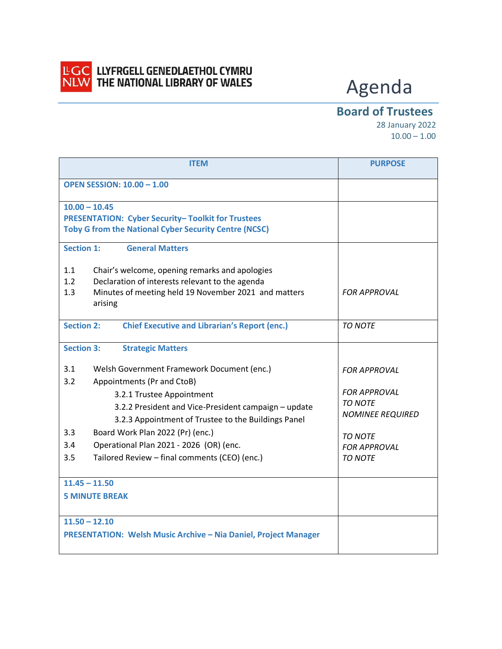

## LGC LLYFRGELL GENEDLAETHOL CYMRU<br>NLW THE NATIONAL LIBRARY OF WALES

## Agenda

## **Board of Trustees**

 28 January 2022  $10.00 - 1.00$ 

| <b>ITEM</b>                                                                                                                                                                                                                                                                                                                                                                                                                         | <b>PURPOSE</b>                                                                                                                                     |
|-------------------------------------------------------------------------------------------------------------------------------------------------------------------------------------------------------------------------------------------------------------------------------------------------------------------------------------------------------------------------------------------------------------------------------------|----------------------------------------------------------------------------------------------------------------------------------------------------|
| <b>OPEN SESSION: 10.00 - 1.00</b>                                                                                                                                                                                                                                                                                                                                                                                                   |                                                                                                                                                    |
| $10.00 - 10.45$<br><b>PRESENTATION: Cyber Security- Toolkit for Trustees</b><br><b>Toby G from the National Cyber Security Centre (NCSC)</b>                                                                                                                                                                                                                                                                                        |                                                                                                                                                    |
| <b>Section 1:</b><br><b>General Matters</b>                                                                                                                                                                                                                                                                                                                                                                                         |                                                                                                                                                    |
| 1.1<br>Chair's welcome, opening remarks and apologies<br>1.2<br>Declaration of interests relevant to the agenda<br>1.3<br>Minutes of meeting held 19 November 2021 and matters<br>arising                                                                                                                                                                                                                                           | <b>FOR APPROVAL</b>                                                                                                                                |
| <b>Section 2:</b><br><b>Chief Executive and Librarian's Report (enc.)</b>                                                                                                                                                                                                                                                                                                                                                           | <b>TO NOTE</b>                                                                                                                                     |
| <b>Section 3:</b><br><b>Strategic Matters</b>                                                                                                                                                                                                                                                                                                                                                                                       |                                                                                                                                                    |
| 3.1<br>Welsh Government Framework Document (enc.)<br>3.2<br>Appointments (Pr and CtoB)<br>3.2.1 Trustee Appointment<br>3.2.2 President and Vice-President campaign - update<br>3.2.3 Appointment of Trustee to the Buildings Panel<br>3.3<br>Board Work Plan 2022 (Pr) (enc.)<br>3.4<br>Operational Plan 2021 - 2026 (OR) (enc.<br>3.5<br>Tailored Review - final comments (CEO) (enc.)<br>$11.45 - 11.50$<br><b>5 MINUTE BREAK</b> | <b>FOR APPROVAL</b><br><b>FOR APPROVAL</b><br><b>TO NOTE</b><br><b>NOMINEE REQUIRED</b><br><b>TO NOTE</b><br><b>FOR APPROVAL</b><br><b>TO NOTE</b> |
| $11.50 - 12.10$<br><b>PRESENTATION: Welsh Music Archive - Nia Daniel, Project Manager</b>                                                                                                                                                                                                                                                                                                                                           |                                                                                                                                                    |